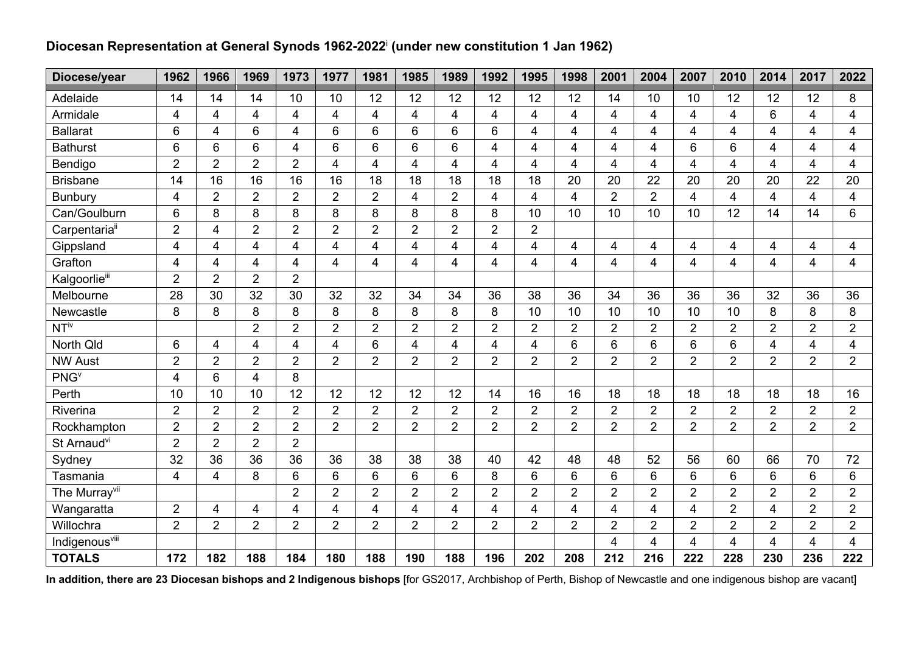## **Diocesan Representation at General Synods 1962-2022**<sup>i</sup> **(under new constitution 1 Jan 1962)**

| Diocese/year               | 1962           | 1966           | 1969           | 1973           | 1977                    | 1981           | 1985           | 1989           | 1992           | 1995                    | 1998                    | 2001           | 2004           | 2007           | 2010                    | 2014           | 2017           | 2022                    |
|----------------------------|----------------|----------------|----------------|----------------|-------------------------|----------------|----------------|----------------|----------------|-------------------------|-------------------------|----------------|----------------|----------------|-------------------------|----------------|----------------|-------------------------|
| Adelaide                   | 14             | 14             | 14             | 10             | 10                      | 12             | 12             | 12             | 12             | 12                      | 12                      | 14             | 10             | 10             | 12                      | 12             | 12             | 8                       |
| Armidale                   | 4              | 4              | 4              | 4              | $\overline{4}$          | $\overline{4}$ | $\overline{4}$ | $\overline{4}$ | $\overline{4}$ | $\overline{\mathbf{4}}$ | $\overline{\mathbf{4}}$ | $\overline{4}$ | 4              | 4              | $\overline{4}$          | 6              | $\overline{4}$ | $\overline{4}$          |
| <b>Ballarat</b>            | 6              | 4              | 6              | $\overline{4}$ | $6\phantom{1}$          | 6              | 6              | 6              | 6              | $\overline{4}$          | $\overline{4}$          | 4              | 4              | 4              | $\overline{4}$          | 4              | 4              | $\overline{4}$          |
| <b>Bathurst</b>            | 6              | 6              | 6              | $\overline{4}$ | $6\phantom{1}$          | 6              | 6              | 6              | $\overline{4}$ | 4                       | 4                       | 4              | 4              | 6              | 6                       | 4              | 4              | 4                       |
| Bendigo                    | $\overline{2}$ | $\overline{2}$ | $\overline{2}$ | $\overline{2}$ | $\overline{4}$          | $\overline{4}$ | $\overline{4}$ | $\overline{4}$ | $\overline{4}$ | $\overline{\mathbf{4}}$ | 4                       | $\overline{4}$ | 4              | 4              | $\overline{4}$          | 4              | 4              | $\overline{4}$          |
| <b>Brisbane</b>            | 14             | 16             | 16             | 16             | 16                      | 18             | 18             | 18             | 18             | 18                      | 20                      | 20             | 22             | 20             | 20                      | 20             | 22             | 20                      |
| <b>Bunbury</b>             | 4              | $\overline{2}$ | $\overline{2}$ | $\overline{2}$ | $\overline{2}$          | $\overline{2}$ | $\overline{4}$ | $\overline{2}$ | 4              | 4                       | 4                       | 2              | $\overline{2}$ | $\overline{4}$ | $\overline{4}$          | 4              | 4              | $\overline{4}$          |
| Can/Goulburn               | 6              | 8              | 8              | 8              | 8                       | 8              | 8              | 8              | 8              | 10                      | 10                      | 10             | 10             | 10             | 12                      | 14             | 14             | 6                       |
| Carpentaria <sup>ii</sup>  | $\overline{2}$ | 4              | $\overline{2}$ | $\overline{2}$ | $\overline{2}$          | $\overline{2}$ | $\overline{2}$ | $\overline{2}$ | $\overline{2}$ | $\overline{2}$          |                         |                |                |                |                         |                |                |                         |
| Gippsland                  | $\overline{4}$ | 4              | 4              | $\overline{4}$ | $\overline{4}$          | 4              | 4              | $\overline{4}$ | $\overline{4}$ | $\overline{\mathbf{4}}$ | $\overline{4}$          | $\overline{4}$ | 4              | 4              | $\overline{\mathbf{4}}$ | $\overline{4}$ | 4              | $\overline{4}$          |
| Grafton                    | 4              | 4              | 4              | $\overline{4}$ | 4                       | 4              | 4              | 4              | $\overline{4}$ | $\overline{\mathbf{4}}$ | 4                       | 4              | 4              | 4              | 4                       | 4              | 4              | $\overline{4}$          |
| Kalgoorlieiii              | $\overline{2}$ | $\overline{2}$ | $\overline{2}$ | $\overline{2}$ |                         |                |                |                |                |                         |                         |                |                |                |                         |                |                |                         |
| Melbourne                  | 28             | 30             | 32             | 30             | 32                      | 32             | 34             | 34             | 36             | 38                      | 36                      | 34             | 36             | 36             | 36                      | 32             | 36             | 36                      |
| Newcastle                  | 8              | 8              | 8              | 8              | 8                       | 8              | 8              | 8              | 8              | 10                      | 10                      | 10             | 10             | 10             | 10                      | 8              | 8              | 8                       |
| $NT^{\text{iv}}$           |                |                | $\overline{2}$ | $\overline{2}$ | $\overline{2}$          | $\overline{2}$ | $\overline{2}$ | $\overline{2}$ | $\overline{2}$ | $\overline{2}$          | $\overline{2}$          | $\overline{2}$ | $\overline{2}$ | $\overline{2}$ | $\overline{2}$          | $\overline{2}$ | $\overline{2}$ | $\overline{2}$          |
| North Qld                  | 6              | 4              | 4              | 4              | $\overline{\mathbf{4}}$ | 6              | 4              | 4              | 4              | $\overline{\mathbf{4}}$ | 6                       | 6              | 6              | 6              | 6                       | 4              | $\overline{4}$ | $\overline{\mathbf{4}}$ |
| <b>NW Aust</b>             | $\overline{2}$ | $\overline{2}$ | $\overline{2}$ | $\overline{2}$ | $\overline{2}$          | $\overline{2}$ | $\overline{2}$ | $\overline{2}$ | $\overline{2}$ | $\overline{2}$          | $\overline{2}$          | $\overline{2}$ | $\overline{2}$ | $\overline{2}$ | $\overline{2}$          | $\overline{2}$ | $\overline{2}$ | $\overline{2}$          |
| <b>PNG</b>                 | 4              | 6              | 4              | 8              |                         |                |                |                |                |                         |                         |                |                |                |                         |                |                |                         |
| Perth                      | 10             | 10             | 10             | 12             | 12                      | 12             | 12             | 12             | 14             | 16                      | 16                      | 18             | 18             | 18             | 18                      | 18             | 18             | 16                      |
| Riverina                   | $\overline{2}$ | $\overline{2}$ | $\overline{2}$ | $\overline{2}$ | $\overline{2}$          | $\overline{2}$ | $\overline{2}$ | $\overline{2}$ | $\overline{2}$ | $\overline{2}$          | $\overline{2}$          | $\overline{2}$ | $\overline{2}$ | $\overline{2}$ | $\overline{2}$          | $\overline{2}$ | $\overline{2}$ | $\overline{2}$          |
| Rockhampton                | $\overline{2}$ | $\overline{2}$ | $\overline{2}$ | $\overline{2}$ | $\overline{2}$          | $\overline{2}$ | $\overline{2}$ | $\overline{2}$ | $\overline{2}$ | $\overline{2}$          | $\overline{2}$          | $\overline{2}$ | $\overline{2}$ | $\overline{2}$ | $\overline{2}$          | $\overline{2}$ | $\overline{2}$ | $\overline{2}$          |
| St Arnaud <sup>vi</sup>    | $\overline{2}$ | $\overline{2}$ | $\overline{2}$ | $\overline{2}$ |                         |                |                |                |                |                         |                         |                |                |                |                         |                |                |                         |
| Sydney                     | 32             | 36             | 36             | 36             | 36                      | 38             | 38             | 38             | 40             | 42                      | 48                      | 48             | 52             | 56             | 60                      | 66             | 70             | 72                      |
| Tasmania                   | 4              | 4              | 8              | $6\phantom{1}$ | $6\phantom{1}$          | 6              | 6              | 6              | 8              | 6                       | 6                       | 6              | 6              | $6\phantom{1}$ | 6                       | 6              | 6              | 6                       |
| The Murray <sup>vii</sup>  |                |                |                | $\overline{2}$ | $\overline{2}$          | $\overline{2}$ | $\overline{2}$ | $\overline{2}$ | $\overline{2}$ | $\overline{2}$          | $\overline{2}$          | $\overline{2}$ | $\overline{2}$ | $\overline{2}$ | $\overline{2}$          | $\overline{2}$ | $\overline{2}$ | $\overline{2}$          |
| Wangaratta                 | $\overline{2}$ | $\overline{4}$ | 4              | $\overline{4}$ | 4                       | 4              | 4              | $\overline{4}$ | $\overline{4}$ | $\overline{\mathbf{4}}$ | 4                       | 4              | 4              | 4              | $\overline{2}$          | 4              | $\overline{2}$ | $\overline{2}$          |
| Willochra                  | $\overline{2}$ | $\overline{2}$ | $\overline{2}$ | $\overline{2}$ | $\overline{2}$          | $\overline{2}$ | $\overline{2}$ | $\overline{2}$ | $\overline{2}$ | $\overline{2}$          | $\overline{2}$          | $\overline{2}$ | $\overline{2}$ | $\overline{2}$ | $\overline{2}$          | $\overline{2}$ | $\overline{2}$ | $\overline{2}$          |
| Indigenous <sup>vill</sup> |                |                |                |                |                         |                |                |                |                |                         |                         | 4              | $\overline{4}$ | 4              | 4                       | $\overline{4}$ | 4              | 4                       |
| <b>TOTALS</b>              | 172            | 182            | 188            | 184            | 180                     | 188            | 190            | 188            | 196            | 202                     | 208                     | 212            | 216            | 222            | 228                     | 230            | 236            | 222                     |

**In addition, there are 23 Diocesan bishops and 2 Indigenous bishops** [for GS2017, Archbishop of Perth, Bishop of Newcastle and one indigenous bishop are vacant]